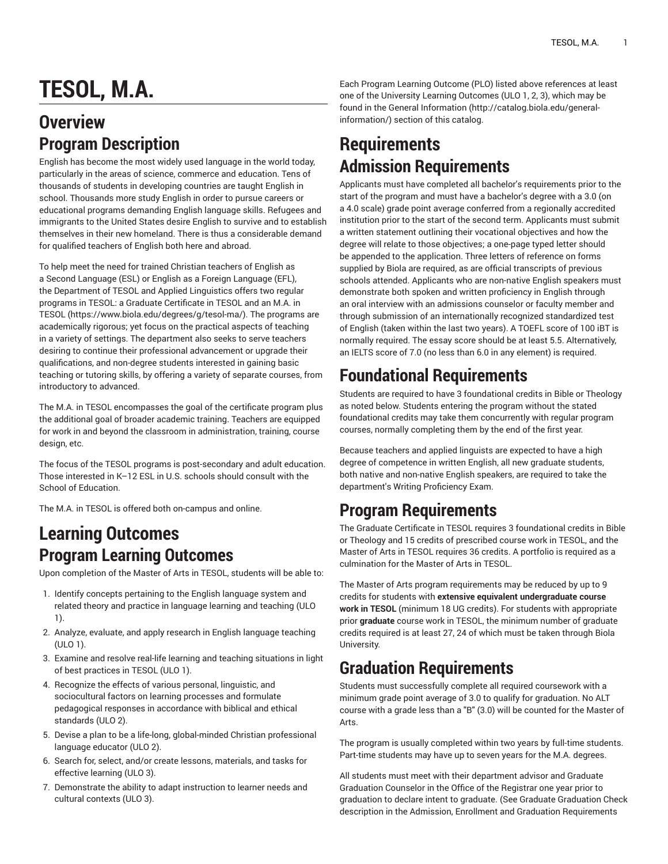# **TESOL, M.A.**

#### **Overview Program Description**

English has become the most widely used language in the world today, particularly in the areas of science, commerce and education. Tens of thousands of students in developing countries are taught English in school. Thousands more study English in order to pursue careers or educational programs demanding English language skills. Refugees and immigrants to the United States desire English to survive and to establish themselves in their new homeland. There is thus a considerable demand for qualified teachers of English both here and abroad.

To help meet the need for trained Christian teachers of English as a Second Language (ESL) or English as a Foreign Language (EFL), the Department of TESOL and Applied Linguistics offers two regular programs in TESOL: a Graduate Certificate in TESOL and an [M.A. in](https://www.biola.edu/degrees/g/tesol-ma/) [TESOL](https://www.biola.edu/degrees/g/tesol-ma/) ([https://www.biola.edu/degrees/g/tesol-ma/\)](https://www.biola.edu/degrees/g/tesol-ma/). The programs are academically rigorous; yet focus on the practical aspects of teaching in a variety of settings. The department also seeks to serve teachers desiring to continue their professional advancement or upgrade their qualifications, and non-degree students interested in gaining basic teaching or tutoring skills, by offering a variety of separate courses, from introductory to advanced.

The M.A. in TESOL encompasses the goal of the certificate program plus the additional goal of broader academic training. Teachers are equipped for work in and beyond the classroom in administration, training, course design, etc.

The focus of the TESOL programs is post-secondary and adult education. Those interested in K–12 ESL in U.S. schools should consult with the School of Education.

The M.A. in TESOL is offered both on-campus and online.

#### **Learning Outcomes Program Learning Outcomes**

Upon completion of the Master of Arts in TESOL, students will be able to:

- 1. Identify concepts pertaining to the English language system and related theory and practice in language learning and teaching (ULO 1).
- 2. Analyze, evaluate, and apply research in English language teaching (ULO 1).
- 3. Examine and resolve real-life learning and teaching situations in light of best practices in TESOL (ULO 1).
- 4. Recognize the effects of various personal, linguistic, and sociocultural factors on learning processes and formulate pedagogical responses in accordance with biblical and ethical standards (ULO 2).
- 5. Devise a plan to be a life-long, global-minded Christian professional language educator (ULO 2).
- 6. Search for, select, and/or create lessons, materials, and tasks for effective learning (ULO 3).
- 7. Demonstrate the ability to adapt instruction to learner needs and cultural contexts (ULO 3).

Each Program Learning Outcome (PLO) listed above references at least one of the University Learning Outcomes (ULO 1, 2, 3), which may be found in the [General Information](http://catalog.biola.edu/general-information/) ([http://catalog.biola.edu/general](http://catalog.biola.edu/general-information/)[information/\)](http://catalog.biola.edu/general-information/) section of this catalog.

## **Requirements Admission Requirements**

Applicants must have completed all bachelor's requirements prior to the start of the program and must have a bachelor's degree with a 3.0 (on a 4.0 scale) grade point average conferred from a regionally accredited institution prior to the start of the second term. Applicants must submit a written statement outlining their vocational objectives and how the degree will relate to those objectives; a one-page typed letter should be appended to the application. Three letters of reference on forms supplied by Biola are required, as are official transcripts of previous schools attended. Applicants who are non-native English speakers must demonstrate both spoken and written proficiency in English through an oral interview with an admissions counselor or faculty member and through submission of an internationally recognized standardized test of English (taken within the last two years). A TOEFL score of 100 iBT is normally required. The essay score should be at least 5.5. Alternatively, an IELTS score of 7.0 (no less than 6.0 in any element) is required.

# **Foundational Requirements**

Students are required to have 3 foundational credits in Bible or Theology as noted below. Students entering the program without the stated foundational credits may take them concurrently with regular program courses, normally completing them by the end of the first year.

Because teachers and applied linguists are expected to have a high degree of competence in written English, all new graduate students, both native and non-native English speakers, are required to take the department's Writing Proficiency Exam.

#### **Program Requirements**

The Graduate Certificate in TESOL requires 3 foundational credits in Bible or Theology and 15 credits of prescribed course work in TESOL, and the Master of Arts in TESOL requires 36 credits. A portfolio is required as a culmination for the Master of Arts in TESOL.

The Master of Arts program requirements may be reduced by up to 9 credits for students with **extensive equivalent undergraduate course work in TESOL** (minimum 18 UG credits). For students with appropriate prior **graduate** course work in TESOL, the minimum number of graduate credits required is at least 27, 24 of which must be taken through Biola University.

## **Graduation Requirements**

Students must successfully complete all required coursework with a minimum grade point average of 3.0 to qualify for graduation. No ALT course with a grade less than a "B" (3.0) will be counted for the Master of Arts.

The program is usually completed within two years by full-time students. Part-time students may have up to seven years for the M.A. degrees.

All students must meet with their department advisor and Graduate Graduation Counselor in the Office of the Registrar one year prior to graduation to declare intent to graduate. (See Graduate Graduation Check description in the Admission, Enrollment and Graduation [Requirements](http://catalog.biola.edu/general-information/admission-enrollment-graduation-requirements/)